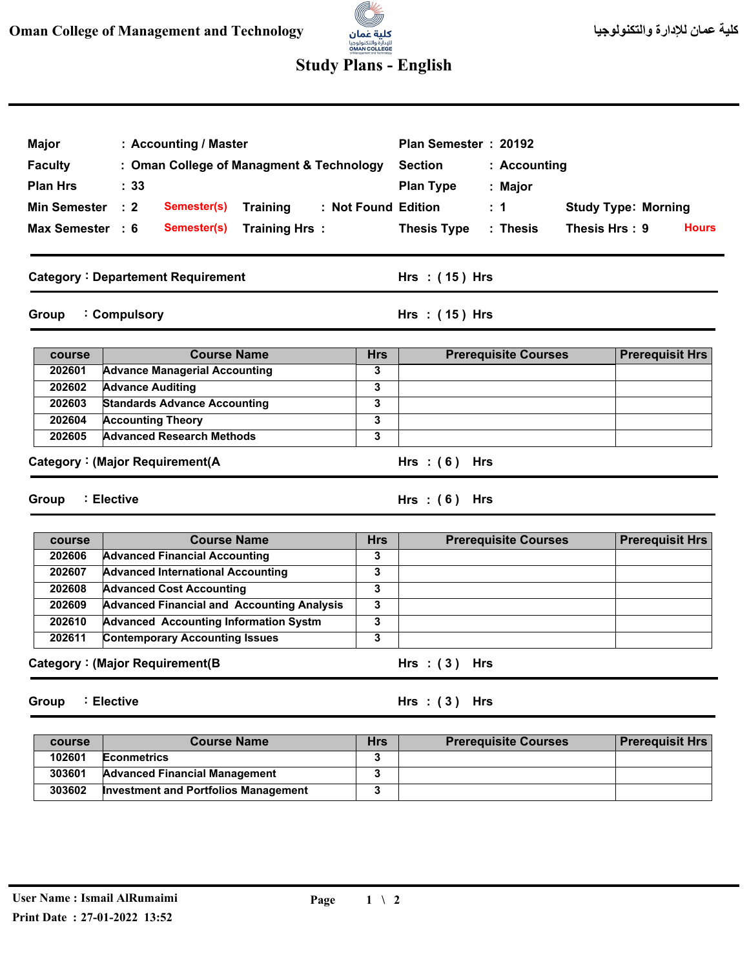

## **Study Plans - English**

| Major            | : Accounting / Master                                                   |                 | Plan Semester: 20192 |                             |               |                            |              |
|------------------|-------------------------------------------------------------------------|-----------------|----------------------|-----------------------------|---------------|----------------------------|--------------|
| <b>Faculty</b>   | : Oman College of Managment & Technology                                |                 | <b>Section</b>       | : Accounting                |               |                            |              |
| <b>Plan Hrs</b>  | $\therefore$ 33                                                         |                 | <b>Plan Type</b>     | : Major                     |               |                            |              |
| Min Semester : 2 | Semester(s)<br><b>Training</b>                                          |                 | : Not Found Edition  | : 1                         |               | <b>Study Type: Morning</b> |              |
|                  |                                                                         |                 |                      |                             |               |                            |              |
| Max Semester : 6 | Training Hrs:<br>Semester(s)                                            |                 | <b>Thesis Type</b>   | : Thesis                    | Thesis Hrs: 9 |                            | <b>Hours</b> |
|                  | <b>Category: Departement Requirement</b>                                |                 | Hrs: $(15)$ Hrs      |                             |               |                            |              |
| Group            | : Compulsory                                                            |                 | Hrs: $(15)$ Hrs      |                             |               |                            |              |
| course           | <b>Course Name</b>                                                      | <b>Hrs</b>      |                      | <b>Prerequisite Courses</b> |               | <b>Prerequisit Hrs</b>     |              |
| 202601           | <b>Advance Managerial Accounting</b>                                    | 3               |                      |                             |               |                            |              |
| 202602           | <b>Advance Auditing</b>                                                 | 3               |                      |                             |               |                            |              |
| 202603           | <b>Standards Advance Accounting</b>                                     | 3               |                      |                             |               |                            |              |
| 202604           | <b>Accounting Theory</b>                                                | 3               |                      |                             |               |                            |              |
|                  |                                                                         | 3               |                      |                             |               |                            |              |
| 202605           | <b>Advanced Research Methods</b><br>Category: (Major Requirement(A      |                 | Hrs: $(6)$ Hrs       |                             |               |                            |              |
| Group            | : Elective                                                              |                 | Hrs: $(6)$ Hrs       |                             |               |                            |              |
| course           | <b>Course Name</b>                                                      | <b>Hrs</b>      |                      | <b>Prerequisite Courses</b> |               | <b>Prerequisit Hrs</b>     |              |
| 202606           | <b>Advanced Financial Accounting</b>                                    | 3               |                      |                             |               |                            |              |
| 202607           | <b>Advanced International Accounting</b>                                | 3               |                      |                             |               |                            |              |
| 202608           | <b>Advanced Cost Accounting</b>                                         | 3               |                      |                             |               |                            |              |
| 202609           | <b>Advanced Financial and Accounting Analysis</b>                       | 3               |                      |                             |               |                            |              |
| 202610           | <b>Advanced Accounting Information Systm</b>                            | 3               |                      |                             |               |                            |              |
| 202611           | <b>Contemporary Accounting Issues</b><br>Category: (Major Requirement(B | 3               | $Hrs : (3)$ Hrs      |                             |               |                            |              |
| Group            | : Elective                                                              |                 | Hrs: $(3)$ Hrs       |                             |               |                            |              |
| course           | <b>Course Name</b>                                                      |                 |                      |                             |               |                            |              |
| 102601           | <b>Econmetrics</b>                                                      | <b>Hrs</b><br>3 |                      | <b>Prerequisite Courses</b> |               | <b>Prerequisit Hrs</b>     |              |
| 303601           | <b>Advanced Financial Management</b>                                    | 3               |                      |                             |               |                            |              |